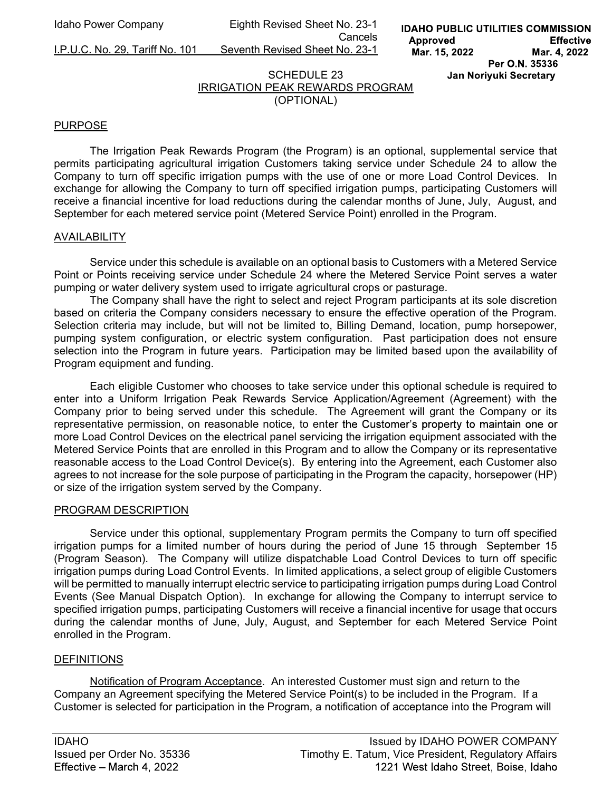I.P.U.C. No. 29, Tariff No. 101 Seventh Revised Sheet No. 23-1

**IDAHO PUBLIC UTILITIES COMMISSION** Approved **Effective** Mar. 15, 2022 Mar. 4, 2022 Per O.N. 35336 Jan Noriyuki Secretary

# SCHEDULE 23 IRRIGATION PEAK REWARDS PROGRAM (OPTIONAL)

#### PURPOSE

The Irrigation Peak Rewards Program (the Program) is an optional, supplemental service that permits participating agricultural irrigation Customers taking service under Schedule 24 to allow the Company to turn off specific irrigation pumps with the use of one or more Load Control Devices. In exchange for allowing the Company to turn off specified irrigation pumps, participating Customers will receive a financial incentive for load reductions during the calendar months of June, July, August, and September for each metered service point (Metered Service Point) enrolled in the Program.

#### AVAILABILITY

 Service under this schedule is available on an optional basis to Customers with a Metered Service Point or Points receiving service under Schedule 24 where the Metered Service Point serves a water pumping or water delivery system used to irrigate agricultural crops or pasturage.

The Company shall have the right to select and reject Program participants at its sole discretion based on criteria the Company considers necessary to ensure the effective operation of the Program. Selection criteria may include, but will not be limited to, Billing Demand, location, pump horsepower, pumping system configuration, or electric system configuration. Past participation does not ensure selection into the Program in future years. Participation may be limited based upon the availability of Program equipment and funding.

 Each eligible Customer who chooses to take service under this optional schedule is required to enter into a Uniform Irrigation Peak Rewards Service Application/Agreement (Agreement) with the Company prior to being served under this schedule. The Agreement will grant the Company or its representative permission, on reasonable notice, to enter the Customer's property to maintain one or more Load Control Devices on the electrical panel servicing the irrigation equipment associated with the Metered Service Points that are enrolled in this Program and to allow the Company or its representative reasonable access to the Load Control Device(s). By entering into the Agreement, each Customer also agrees to not increase for the sole purpose of participating in the Program the capacity, horsepower (HP) or size of the irrigation system served by the Company.

#### PROGRAM DESCRIPTION

 Service under this optional, supplementary Program permits the Company to turn off specified irrigation pumps for a limited number of hours during the period of June 15 through September 15 (Program Season). The Company will utilize dispatchable Load Control Devices to turn off specific irrigation pumps during Load Control Events. In limited applications, a select group of eligible Customers will be permitted to manually interrupt electric service to participating irrigation pumps during Load Control Events (See Manual Dispatch Option). In exchange for allowing the Company to interrupt service to specified irrigation pumps, participating Customers will receive a financial incentive for usage that occurs during the calendar months of June, July, August, and September for each Metered Service Point enrolled in the Program.

#### DEFINITIONS

Notification of Program Acceptance. An interested Customer must sign and return to the Company an Agreement specifying the Metered Service Point(s) to be included in the Program. If a Customer is selected for participation in the Program, a notification of acceptance into the Program will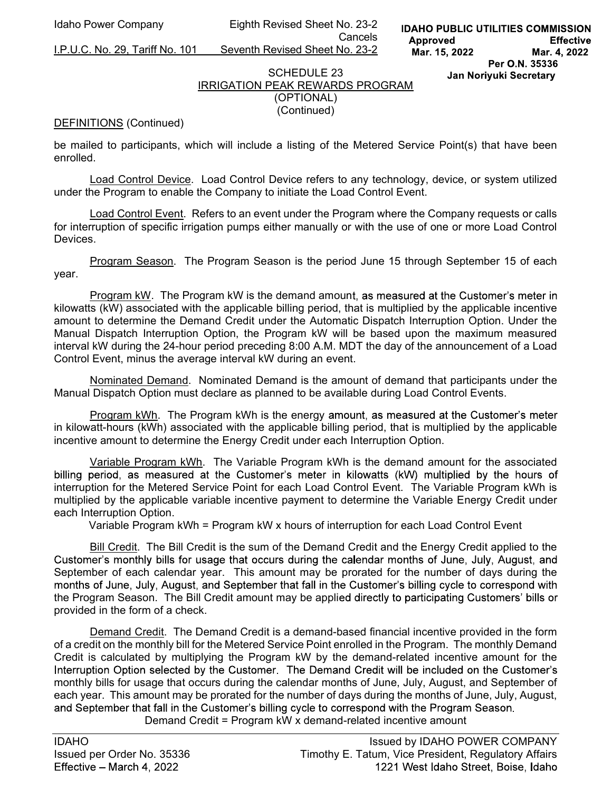I.P.U.C. No. 29, Tariff No. 101 Seventh Revised Sheet No. 23-2

#### SCHEDULE 23 IRRIGATION PEAK REWARDS PROGRAM (OPTIONAL)

(Continued)

#### DEFINITIONS (Continued)

be mailed to participants, which will include a listing of the Metered Service Point(s) that have been enrolled.

Load Control Device. Load Control Device refers to any technology, device, or system utilized under the Program to enable the Company to initiate the Load Control Event.

Load Control Event. Refers to an event under the Program where the Company requests or calls for interruption of specific irrigation pumps either manually or with the use of one or more Load Control **Devices** 

Program Season. The Program Season is the period June 15 through September 15 of each year.

Program kW. The Program kW is the demand amount, as measured at the Customer's meter in kilowatts (kW) associated with the applicable billing period, that is multiplied by the applicable incentive amount to determine the Demand Credit under the Automatic Dispatch Interruption Option. Under the Manual Dispatch Interruption Option, the Program kW will be based upon the maximum measured interval kW during the 24-hour period preceding 8:00 A.M. MDT the day of the announcement of a Load Control Event, minus the average interval kW during an event.

Nominated Demand. Nominated Demand is the amount of demand that participants under the Manual Dispatch Option must declare as planned to be available during Load Control Events.

Program kWh. The Program kWh is the energy amount, as measured at the Customer's meter in kilowatt-hours (kWh) associated with the applicable billing period, that is multiplied by the applicable incentive amount to determine the Energy Credit under each Interruption Option.

 Variable Program kWh. The Variable Program kWh is the demand amount for the associated billing period, as measured at the Customer's meter in kilowatts (kW) multiplied by the hours of interruption for the Metered Service Point for each Load Control Event. The Variable Program kWh is multiplied by the applicable variable incentive payment to determine the Variable Energy Credit under each Interruption Option.

Variable Program kWh = Program kW x hours of interruption for each Load Control Event

Bill Credit. The Bill Credit is the sum of the Demand Credit and the Energy Credit applied to the Customer's monthly bills for usage that occurs during the calendar months of June, July, August, and September of each calendar year. This amount may be prorated for the number of days during the months of June, July, August, and September that fall in the Customer's billing cycle to correspond with the Program Season. The Bill Credit amount may be applied directly to participating Customers' bills or provided in the form of a check.

Demand Credit. The Demand Credit is a demand-based financial incentive provided in the form of a credit on the monthly bill for the Metered Service Point enrolled in the Program. The monthly Demand Credit is calculated by multiplying the Program kW by the demand-related incentive amount for the Interruption Option selected by the Customer. The Demand Credit will be included on the Customer's monthly bills for usage that occurs during the calendar months of June, July, August, and September of each year. This amount may be prorated for the number of days during the months of June, July, August, and September that fall in the Customer's billing cycle to correspond with the Program Season. Demand Credit = Program kW x demand-related incentive amount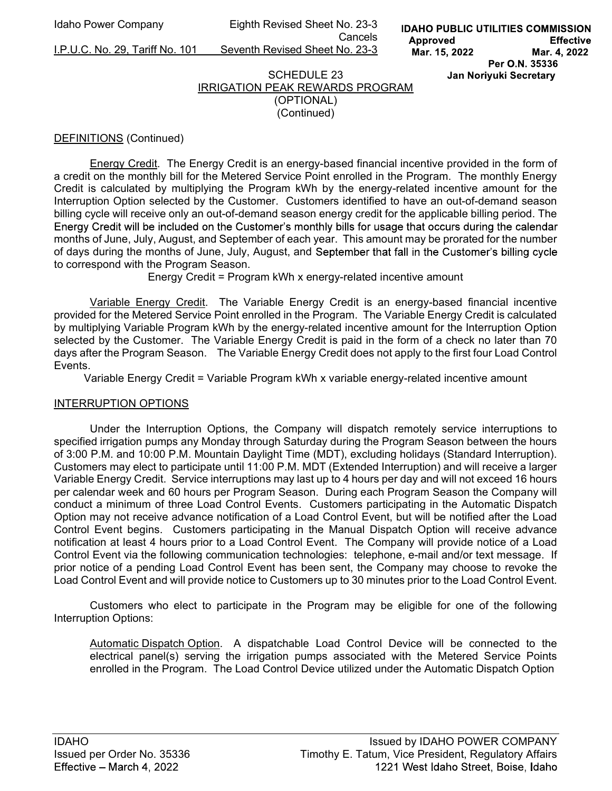I.P.U.C. No. 29, Tariff No. 101 Seventh Revised Sheet No. 23-3

**Cancels Cancels** 

# SCHEDULE 23 IRRIGATION PEAK REWARDS PROGRAM (OPTIONAL)

(Continued)

# DEFINITIONS (Continued)

 Energy Credit. The Energy Credit is an energy-based financial incentive provided in the form of a credit on the monthly bill for the Metered Service Point enrolled in the Program. The monthly Energy Credit is calculated by multiplying the Program kWh by the energy-related incentive amount for the Interruption Option selected by the Customer. Customers identified to have an out-of-demand season billing cycle will receive only an out-of-demand season energy credit for the applicable billing period. The Energy Credit will be included on the Customer's monthly bills for usage that occurs during the calendar months of June, July, August, and September of each year. This amount may be prorated for the number of days during the months of June, July, August, and September that fall in the Customer's billing cycle to correspond with the Program Season.

Energy Credit = Program kWh x energy-related incentive amount

Variable Energy Credit. The Variable Energy Credit is an energy-based financial incentive provided for the Metered Service Point enrolled in the Program. The Variable Energy Credit is calculated by multiplying Variable Program kWh by the energy-related incentive amount for the Interruption Option selected by the Customer. The Variable Energy Credit is paid in the form of a check no later than 70 days after the Program Season. The Variable Energy Credit does not apply to the first four Load Control Events.

Variable Energy Credit = Variable Program kWh x variable energy-related incentive amount

## INTERRUPTION OPTIONS

 Under the Interruption Options, the Company will dispatch remotely service interruptions to specified irrigation pumps any Monday through Saturday during the Program Season between the hours of 3:00 P.M. and 10:00 P.M. Mountain Daylight Time (MDT), excluding holidays (Standard Interruption). Customers may elect to participate until 11:00 P.M. MDT (Extended Interruption) and will receive a larger Variable Energy Credit. Service interruptions may last up to 4 hours per day and will not exceed 16 hours per calendar week and 60 hours per Program Season. During each Program Season the Company will conduct a minimum of three Load Control Events. Customers participating in the Automatic Dispatch Option may not receive advance notification of a Load Control Event, but will be notified after the Load Control Event begins. Customers participating in the Manual Dispatch Option will receive advance notification at least 4 hours prior to a Load Control Event. The Company will provide notice of a Load Control Event via the following communication technologies: telephone, e-mail and/or text message. If prior notice of a pending Load Control Event has been sent, the Company may choose to revoke the Load Control Event and will provide notice to Customers up to 30 minutes prior to the Load Control Event.

 Customers who elect to participate in the Program may be eligible for one of the following Interruption Options:

Automatic Dispatch Option. A dispatchable Load Control Device will be connected to the electrical panel(s) serving the irrigation pumps associated with the Metered Service Points enrolled in the Program. The Load Control Device utilized under the Automatic Dispatch Option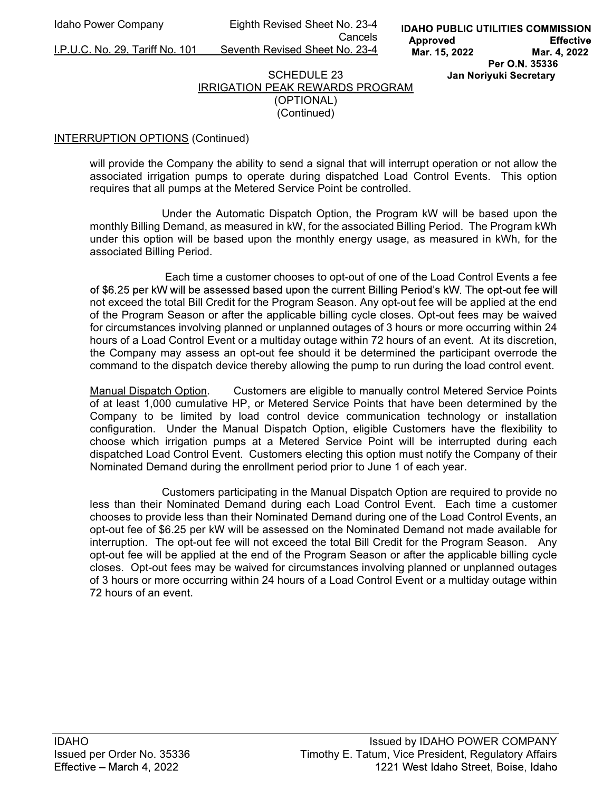I.P.U.C. No. 29, Tariff No. 101 Seventh Revised Sheet No. 23-4

Cancels

#### SCHEDULE 23 IRRIGATION PEAK REWARDS PROGRAM (OPTIONAL) (Continued)

## INTERRUPTION OPTIONS (Continued)

will provide the Company the ability to send a signal that will interrupt operation or not allow the associated irrigation pumps to operate during dispatched Load Control Events. This option requires that all pumps at the Metered Service Point be controlled.

 Under the Automatic Dispatch Option, the Program kW will be based upon the monthly Billing Demand, as measured in kW, for the associated Billing Period. The Program kWh under this option will be based upon the monthly energy usage, as measured in kWh, for the associated Billing Period.

 Each time a customer chooses to opt-out of one of the Load Control Events a fee of \$6.25 per kW will be assessed based upon the current Billing Period's kW. The opt-out fee will not exceed the total Bill Credit for the Program Season. Any opt-out fee will be applied at the end of the Program Season or after the applicable billing cycle closes. Opt-out fees may be waived for circumstances involving planned or unplanned outages of 3 hours or more occurring within 24 hours of a Load Control Event or a multiday outage within 72 hours of an event. At its discretion, the Company may assess an opt-out fee should it be determined the participant overrode the command to the dispatch device thereby allowing the pump to run during the load control event.

Manual Dispatch Option. Customers are eligible to manually control Metered Service Points of at least 1,000 cumulative HP, or Metered Service Points that have been determined by the Company to be limited by load control device communication technology or installation configuration. Under the Manual Dispatch Option, eligible Customers have the flexibility to choose which irrigation pumps at a Metered Service Point will be interrupted during each dispatched Load Control Event. Customers electing this option must notify the Company of their Nominated Demand during the enrollment period prior to June 1 of each year.

 Customers participating in the Manual Dispatch Option are required to provide no less than their Nominated Demand during each Load Control Event. Each time a customer chooses to provide less than their Nominated Demand during one of the Load Control Events, an opt-out fee of \$6.25 per kW will be assessed on the Nominated Demand not made available for interruption. The opt-out fee will not exceed the total Bill Credit for the Program Season. Any opt-out fee will be applied at the end of the Program Season or after the applicable billing cycle closes. Opt-out fees may be waived for circumstances involving planned or unplanned outages of 3 hours or more occurring within 24 hours of a Load Control Event or a multiday outage within 72 hours of an event.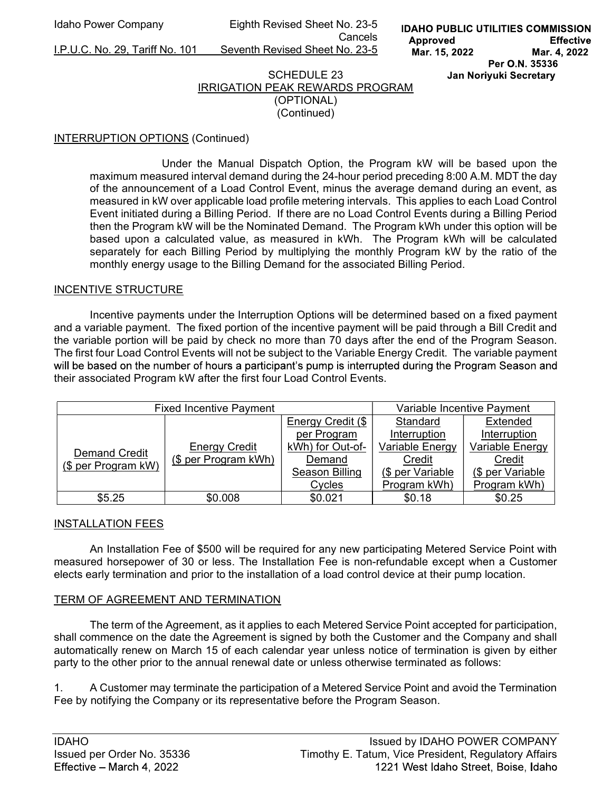I.P.U.C. No. 29, Tariff No. 101 Seventh Revised Sheet No. 23-5

**Cancels Cancels** 

# SCHEDULE 23 IRRIGATION PEAK REWARDS PROGRAM (OPTIONAL)

(Continued)

# INTERRUPTION OPTIONS (Continued)

Under the Manual Dispatch Option, the Program kW will be based upon the maximum measured interval demand during the 24-hour period preceding 8:00 A.M. MDT the day of the announcement of a Load Control Event, minus the average demand during an event, as measured in kW over applicable load profile metering intervals. This applies to each Load Control Event initiated during a Billing Period. If there are no Load Control Events during a Billing Period then the Program kW will be the Nominated Demand. The Program kWh under this option will be based upon a calculated value, as measured in kWh. The Program kWh will be calculated separately for each Billing Period by multiplying the monthly Program kW by the ratio of the monthly energy usage to the Billing Demand for the associated Billing Period.

## INCENTIVE STRUCTURE

Incentive payments under the Interruption Options will be determined based on a fixed payment and a variable payment. The fixed portion of the incentive payment will be paid through a Bill Credit and the variable portion will be paid by check no more than 70 days after the end of the Program Season. The first four Load Control Events will not be subject to the Variable Energy Credit. The variable payment will be based on the number of hours a participant's pump is interrupted during the Program Season and their associated Program kW after the first four Load Control Events.

| <b>Fixed Incentive Payment</b>              |                                              |                   | Variable Incentive Payment |                  |
|---------------------------------------------|----------------------------------------------|-------------------|----------------------------|------------------|
| <b>Demand Credit</b><br>(\$ per Program kW) | <b>Energy Credit</b><br>(\$ per Program kWh) | Energy Credit (\$ | Standard                   | Extended         |
|                                             |                                              | per Program       | Interruption               | Interruption     |
|                                             |                                              | kWh) for Out-of-  | Variable Energy            | Variable Energy  |
|                                             |                                              | Demand            | Credit                     | Credit           |
|                                             |                                              | Season Billing    | (\$ per Variable           | (\$ per Variable |
|                                             |                                              | Cycles            | Program kWh)               | Program kWh)     |
| \$5.25                                      | \$0.008                                      | \$0.021           | \$0.18                     | \$0.25           |

## INSTALLATION FEES

 An Installation Fee of \$500 will be required for any new participating Metered Service Point with measured horsepower of 30 or less. The Installation Fee is non-refundable except when a Customer elects early termination and prior to the installation of a load control device at their pump location.

## TERM OF AGREEMENT AND TERMINATION

 The term of the Agreement, as it applies to each Metered Service Point accepted for participation, shall commence on the date the Agreement is signed by both the Customer and the Company and shall automatically renew on March 15 of each calendar year unless notice of termination is given by either party to the other prior to the annual renewal date or unless otherwise terminated as follows:

1. A Customer may terminate the participation of a Metered Service Point and avoid the Termination Fee by notifying the Company or its representative before the Program Season.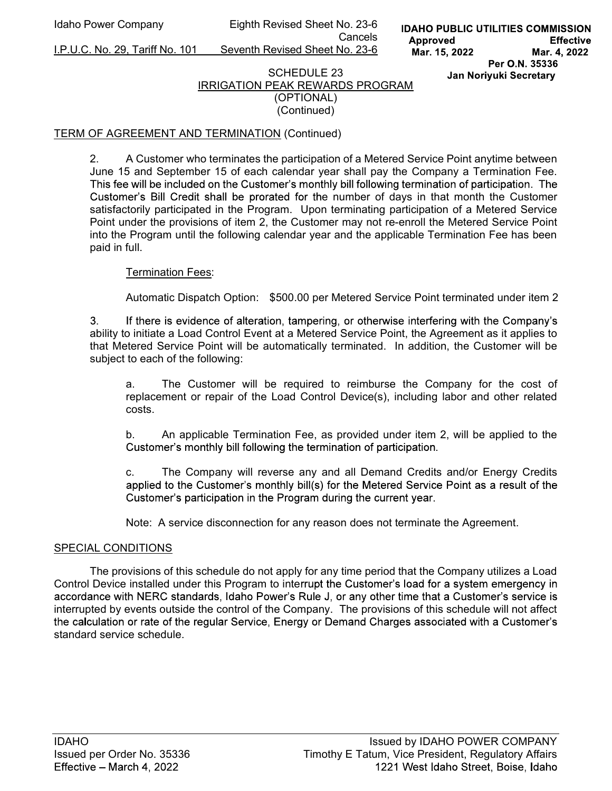I.P.U.C. No. 29, Tariff No. 101 Seventh Revised Sheet No. 23-6

# SCHEDULE 23 IRRIGATION PEAK REWARDS PROGRAM (OPTIONAL)

(Continued)

# TERM OF AGREEMENT AND TERMINATION (Continued)

2. A Customer who terminates the participation of a Metered Service Point anytime between June 15 and September 15 of each calendar year shall pay the Company a Termination Fee. This fee will be included on the Customer's monthly bill following termination of participation. The Customer's Bill Credit shall be prorated for the number of days in that month the Customer satisfactorily participated in the Program. Upon terminating participation of a Metered Service Point under the provisions of item 2, the Customer may not re-enroll the Metered Service Point into the Program until the following calendar year and the applicable Termination Fee has been paid in full.

# Termination Fees:

Automatic Dispatch Option: \$500.00 per Metered Service Point terminated under item 2

If there is evidence of alteration, tampering, or otherwise interfering with the Company's 3. ability to initiate a Load Control Event at a Metered Service Point, the Agreement as it applies to that Metered Service Point will be automatically terminated. In addition, the Customer will be subject to each of the following:

 a. The Customer will be required to reimburse the Company for the cost of replacement or repair of the Load Control Device(s), including labor and other related costs.

 b. An applicable Termination Fee, as provided under item 2, will be applied to the Customer's monthly bill following the termination of participation.

 c. The Company will reverse any and all Demand Credits and/or Energy Credits applied to the Customer's monthly bill(s) for the Metered Service Point as a result of the Customer's participation in the Program during the current year.

Note: A service disconnection for any reason does not terminate the Agreement.

## SPECIAL CONDITIONS

The provisions of this schedule do not apply for any time period that the Company utilizes a Load Control Device installed under this Program to interrupt the Customer's load for a system emergency in accordance with NERC standards, Idaho Power's Rule J, or any other time that a Customer's service is interrupted by events outside the control of the Company. The provisions of this schedule will not affect the calculation or rate of the regular Service, Energy or Demand Charges associated with a Customer's standard service schedule.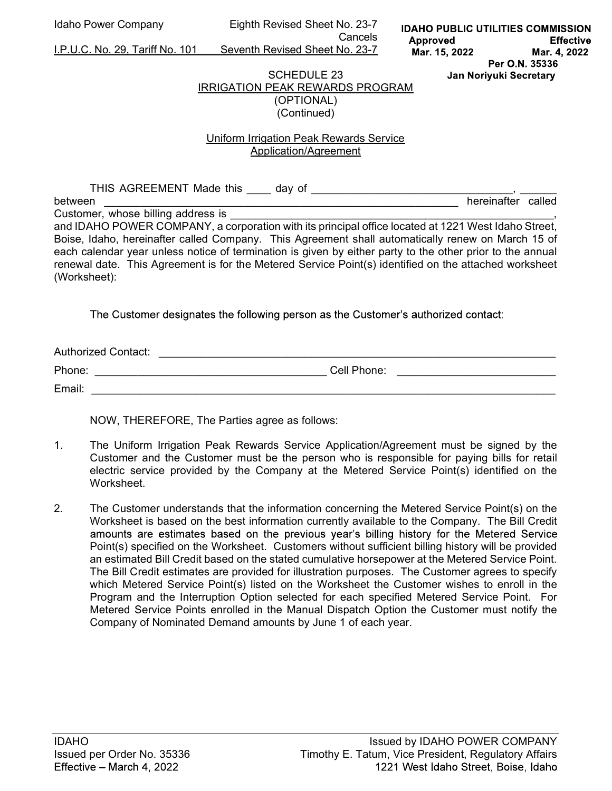**Cancels Cancels** 

I.P.U.C. No. 29, Tariff No. 101 Seventh Revised Sheet No. 23-7

#### SCHEDULE 23 IRRIGATION PEAK REWARDS PROGRAM (OPTIONAL) (Continued)

# Uniform Irrigation Peak Rewards Service Application/Agreement

| THIS AGREEMENT Made this<br>day of                                                                                                                                                                                                                                                                                                      |                    |  |
|-----------------------------------------------------------------------------------------------------------------------------------------------------------------------------------------------------------------------------------------------------------------------------------------------------------------------------------------|--------------------|--|
| between                                                                                                                                                                                                                                                                                                                                 | hereinafter called |  |
| Customer, whose billing address is                                                                                                                                                                                                                                                                                                      |                    |  |
| and IDAHO POWER COMPANY, a corporation with its principal office located at 1221 West Idaho Street,                                                                                                                                                                                                                                     |                    |  |
| Boise, Idaho, hereinafter called Company. This Agreement shall automatically renew on March 15 of<br>each calendar year unless notice of termination is given by either party to the other prior to the annual<br>renewal date. This Agreement is for the Metered Service Point(s) identified on the attached worksheet<br>(Worksheet): |                    |  |

The Customer designates the following person as the Customer's authorized contact:

| <b>Authorized Contact:</b> |             |
|----------------------------|-------------|
| Phone:                     | Cell Phone: |
| Email:                     |             |

NOW, THEREFORE, The Parties agree as follows:

- 1. The Uniform Irrigation Peak Rewards Service Application/Agreement must be signed by the Customer and the Customer must be the person who is responsible for paying bills for retail electric service provided by the Company at the Metered Service Point(s) identified on the **Worksheet**
- 2. The Customer understands that the information concerning the Metered Service Point(s) on the Worksheet is based on the best information currently available to the Company. The Bill Credit amounts are estimates based on the previous year's billing history for the Metered Service Point(s) specified on the Worksheet. Customers without sufficient billing history will be provided an estimated Bill Credit based on the stated cumulative horsepower at the Metered Service Point. The Bill Credit estimates are provided for illustration purposes. The Customer agrees to specify which Metered Service Point(s) listed on the Worksheet the Customer wishes to enroll in the Program and the Interruption Option selected for each specified Metered Service Point. For Metered Service Points enrolled in the Manual Dispatch Option the Customer must notify the Company of Nominated Demand amounts by June 1 of each year.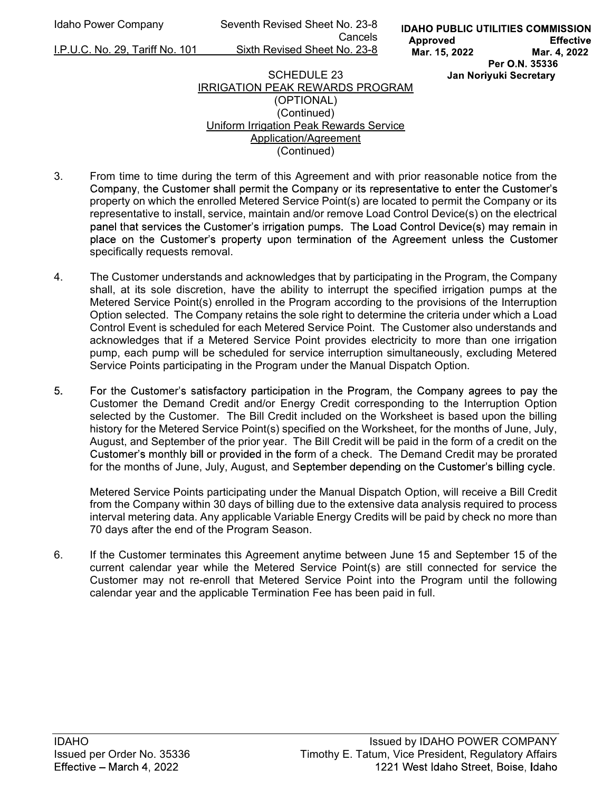Idaho Power Company Seventh Revised Sheet No. 23-8 **Cancels Cancels** I.P.U.C. No. 29, Tariff No. 101 Sixth Revised Sheet No. 23-8

# SCHEDULE 23 IRRIGATION PEAK REWARDS PROGRAM (OPTIONAL) (Continued) Uniform Irrigation Peak Rewards Service Application/Agreement

- (Continued)
- 3. From time to time during the term of this Agreement and with prior reasonable notice from the Company, the Customer shall permit the Company or its representative to enter the Customer's property on which the enrolled Metered Service Point(s) are located to permit the Company or its representative to install, service, maintain and/or remove Load Control Device(s) on the electrical panel that services the Customer's irrigation pumps. The Load Control Device(s) may remain in place on the Customer's property upon termination of the Agreement unless the Customer specifically requests removal.
- 4. The Customer understands and acknowledges that by participating in the Program, the Company shall, at its sole discretion, have the ability to interrupt the specified irrigation pumps at the Metered Service Point(s) enrolled in the Program according to the provisions of the Interruption Option selected. The Company retains the sole right to determine the criteria under which a Load Control Event is scheduled for each Metered Service Point. The Customer also understands and acknowledges that if a Metered Service Point provides electricity to more than one irrigation pump, each pump will be scheduled for service interruption simultaneously, excluding Metered Service Points participating in the Program under the Manual Dispatch Option.
- 5 For the Customer's satisfactory participation in the Program, the Company agrees to pay the Customer the Demand Credit and/or Energy Credit corresponding to the Interruption Option selected by the Customer. The Bill Credit included on the Worksheet is based upon the billing history for the Metered Service Point(s) specified on the Worksheet, for the months of June, July, August, and September of the prior year. The Bill Credit will be paid in the form of a credit on the Customer's monthly bill or provided in the form of a check. The Demand Credit may be prorated for the months of June, July, August, and September depending on the Customer's billing cycle.

Metered Service Points participating under the Manual Dispatch Option, will receive a Bill Credit from the Company within 30 days of billing due to the extensive data analysis required to process interval metering data. Any applicable Variable Energy Credits will be paid by check no more than 70 days after the end of the Program Season.

6. If the Customer terminates this Agreement anytime between June 15 and September 15 of the current calendar year while the Metered Service Point(s) are still connected for service the Customer may not re-enroll that Metered Service Point into the Program until the following calendar year and the applicable Termination Fee has been paid in full.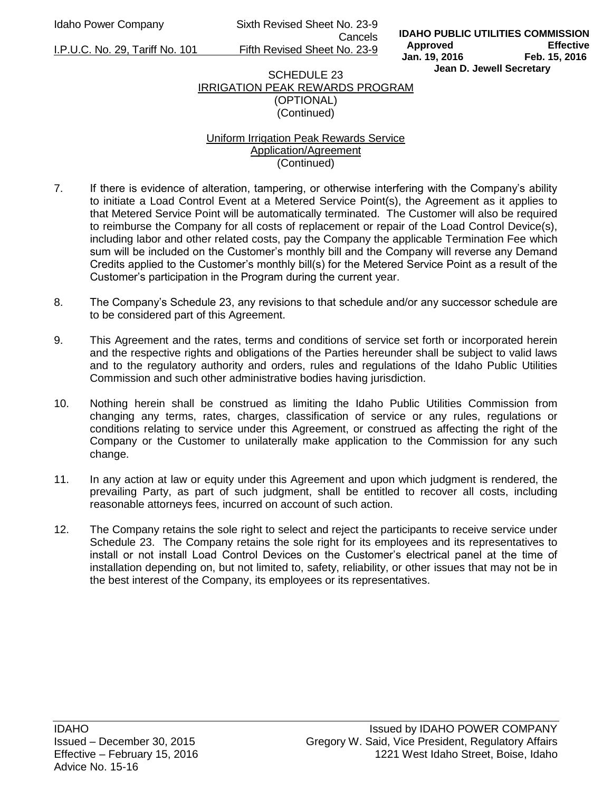Idaho Power Company Sixth Revised Sheet No. 23-9 Cancels

I.P.U.C. No. 29, Tariff No. 101 Fifth Revised Sheet No. 23-9

## SCHEDULE 23 IRRIGATION PEAK REWARDS PROGRAM (OPTIONAL) (Continued)

## Uniform Irrigation Peak Rewards Service Application/Agreement (Continued)

- 7. If there is evidence of alteration, tampering, or otherwise interfering with the Company's ability to initiate a Load Control Event at a Metered Service Point(s), the Agreement as it applies to that Metered Service Point will be automatically terminated. The Customer will also be required to reimburse the Company for all costs of replacement or repair of the Load Control Device(s), including labor and other related costs, pay the Company the applicable Termination Fee which sum will be included on the Customer's monthly bill and the Company will reverse any Demand Credits applied to the Customer's monthly bill(s) for the Metered Service Point as a result of the Customer's participation in the Program during the current year.
- 8. The Company's Schedule 23, any revisions to that schedule and/or any successor schedule are to be considered part of this Agreement.
- 9. This Agreement and the rates, terms and conditions of service set forth or incorporated herein and the respective rights and obligations of the Parties hereunder shall be subject to valid laws and to the regulatory authority and orders, rules and regulations of the Idaho Public Utilities Commission and such other administrative bodies having jurisdiction.
- 10. Nothing herein shall be construed as limiting the Idaho Public Utilities Commission from changing any terms, rates, charges, classification of service or any rules, regulations or conditions relating to service under this Agreement, or construed as affecting the right of the Company or the Customer to unilaterally make application to the Commission for any such change.
- 11. In any action at law or equity under this Agreement and upon which judgment is rendered, the prevailing Party, as part of such judgment, shall be entitled to recover all costs, including reasonable attorneys fees, incurred on account of such action.
- 12. The Company retains the sole right to select and reject the participants to receive service under Schedule 23. The Company retains the sole right for its employees and its representatives to install or not install Load Control Devices on the Customer's electrical panel at the time of installation depending on, but not limited to, safety, reliability, or other issues that may not be in the best interest of the Company, its employees or its representatives.